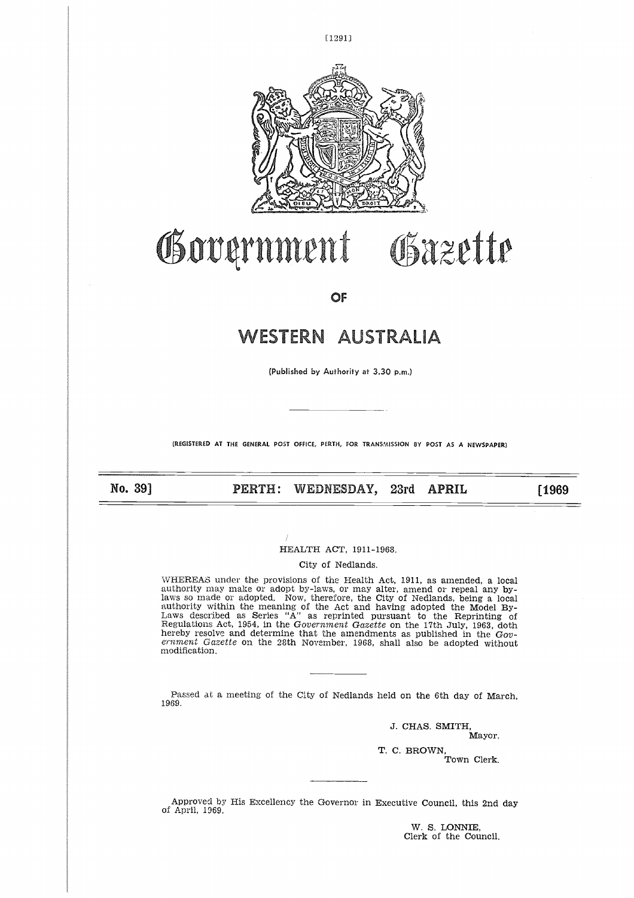

C1291]

# Government Gazette

**OF**

# **WESTERN AUSTRALIA**

(Published by Authority at 3.30 p.m.)

**(REGISTERED AT THE GENERAL POST OFFICE, PERTH, FOR TRANSMISSION BY POST AS A NEWSPAPER)**

No. 397

**PERTH: WEDNESDAY, 23rd APRIL [1969**

HEALTH ACT, 1911-1968.

City of Nedlands.

WHEREAS under the provisions of the Health Act, 1911, as amended, a local authority may make or adopt by-laws, or may alter, amend or repeal any bylaws so made or adopted. Now, therefore, the City of Nedlands, being a local authority within the meaning of the Act and having adopted the Model By-Laws described as Series "A" as reprinted pursuant to the Reprinting of Regulations Act, 1954, in the *Government Gazette* on the 17th July, 1963, doth hereby resolve and determine that the amendments as published in the *Government Gazette* on the 28th November, 1968, shall also be adopted without modification.

Passed at a meeting of the City of Nedlands held on the 6th day of March, 1969.

> **J. CHAS. SMITH, Mayor. T. C. BROWN,** Town Clerk.

Approved by His Excellency the Governor in Executive Council, this 2nd day of April, 1969.

> W. S. LONNIE, Clerk of the Council.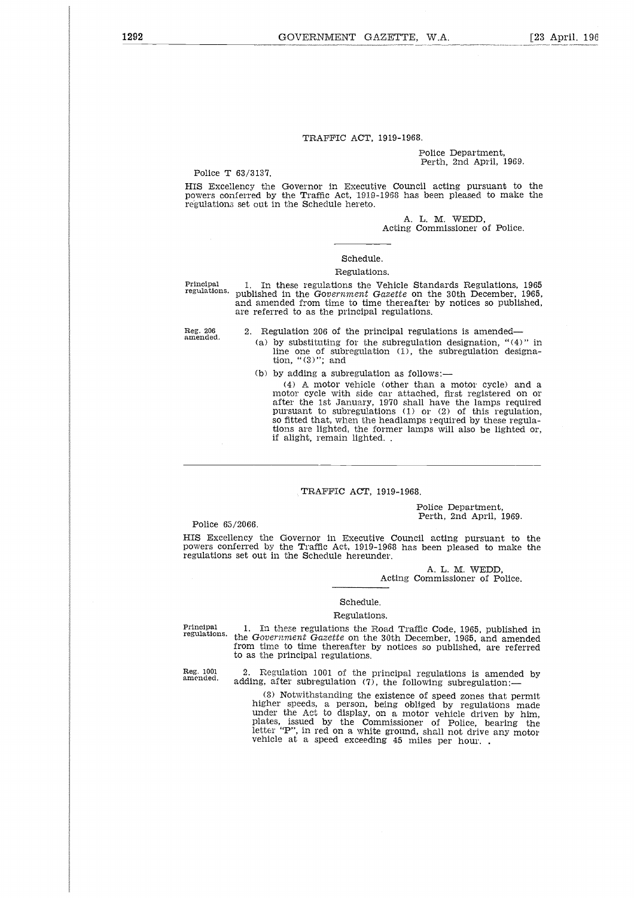## TRAFFIC ACT, 1919-1968.

#### Police Department, Perth, 2nd April, 1969.

Police T 63/3137.

HIS Excellency the Governor in Executive Council acting pursuant to the powers conferred by the Traffic Act, 1919-1968 has been pleased to make the regulations set out in the Schedule hereto.

> A. L. M. WEDD, Acting Commissioner of Police.

#### Schedule.

#### Regulations.

Principal 1. In these regulations the Vehicle Standards Regulations, 1965<br>regulations, published in the Government Gazette on the 30th December, 1965 published in the *Government Gazette* on the 30th December, 1965, and amended from time to time thereafter by notices so published, are referred to as the principal regulations.

2. Regulation 206 of the principal regulations is amended

- (a) by substituting for the subregulation designation, "(4)" in line one of subregulation (1), the subregulation designa-tion, "(3)"; and
- (b) by adding a subregulation as follows:

(4) A motor vehicle (other than a motor cycle) and a motor cycle with side car attached, first registered on or after the 1st January, 1970 shall have the lamps required pursuant to subregulations (1) or (2) of this regulation, so fitted that, when the headlamps required by these regulations are lighted, the former lamps will also be lighted or,<br>if alight, remain lighted. .

## TRAFFIC ACT, 1919-1968.

## Police Department, Perth, 2nd April, 1969.

Police 65/2066.

HIS Excellency the Governor in Executive Council acting pursuant to the powers conferred by the Traffic Act, 1919-1968 has been pleased to make the regulations set out in the Schedule hereunder.

> A. L. M. WEDD, Acting Commissioner of Police.

## Schedule.

#### Regulations.

Principal regulations.

1. In these regulations the Road Traffic Code, 1965, published in the *Government Gazette* on the 30th December, 1965, and amended from time to time thereafter by notices so published, are referred to as the principal regulations.

Reg. 1001 amended.

2. Regulation 1001 of the principal regulations is amended by adding, after subregulation  $(7)$ , the following subregulation:—

(8) Notwithstanding the existence of speed zones that permit higher speeds, a person, being obliged by regulations made under the Act to display, on a motor vehicle driven by him, plates, issued by the Commissioner of Police, bearing the letter "P", in red on a white ground, shall not drive any motor vehicle at a speed exceeding 45 miles per hour. .

Reg. 206 amended.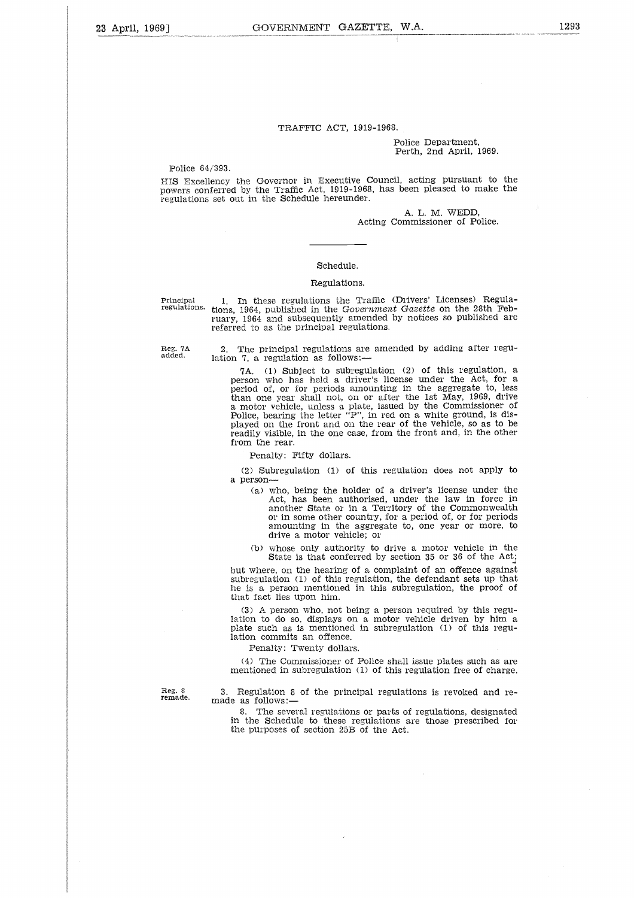### TRAFFIC ACT, 1919-1968.

#### Police Department, Perth, 2nd April, 1969.

Police 64/393.

HIS Excellency the Governor in Executive Council. acting pursuant to the powers conferred by the Traffic Act, 1919-1968, has been pleased to make the regulations set out in the Schedule hereunder.

> A. L. M. WEDD, Acting Commissioner of Police.

## Schedule.

#### Regulations.

Principal regulations.

Reg. 7A added.

1. In these regulations the Traffic (Drivers' Licenses) Regulations, 1964, published in the *Government Gazette* on the 28th February, 1964 and subsequently amended by notices so published are referred to as the principal regulations.

2. The principal regulations are amended by adding after regulation 7, a regulation as follows:-

7A. (1) Subject to subregulation (2) of this regulation, a person who has held a driver's license under the Act, for a period of, or for periods amounting in the aggregate to, less than one year shall not, on or after the 1st May, 1969, drive a motor vehicle, unless a plate, issued by the Commissioner of Police, bearing the letter "P", in red on a white ground, is displayed on the front and on the rear of the vehicle, so as to be readily visible, in the one case, from the front and, in the other from the rear.

Penalty: Fifty dollars.

(2) Subregulation (1) of this regulation does not apply to a person-

(a) who, being the holder of a driver's license under the Act, has been authorised, under the law in force in another State or in a Territory of the Commonwealth or in some other country, for a period of, or for periods amounting in the aggregate to, one year or more, to drive a motor vehicle; or

(b) whose only authority to drive a motor vehicle in the State is that conferred by section 35 or 36 of the Act;

but where, on the hearing of a complaint of an offence against subregulation (1) of this regulation, the defendant sets up that he is a person mentioned in this subregulation, the proof of that fact lies upon him.

(3) A person who, not being a person required by this regulation to do so, displays on a motor vehicle driven by him a plate such as is mentioned in subregulation (1) of this regulation commits an offence.

Penalty: Twenty dollars.

(4) The Commissioner of Police shall issue plates such as are mentioned in subregulation (1) of this regulation free of charge.

Reg. 8 remade.

Regulation 8 of the principal regulations is revoked and remade as follows:-

8. The several regulations or parts of regulations, designated in the Schedule to these regulations are those prescribed for the purposes of section 25B of the Act.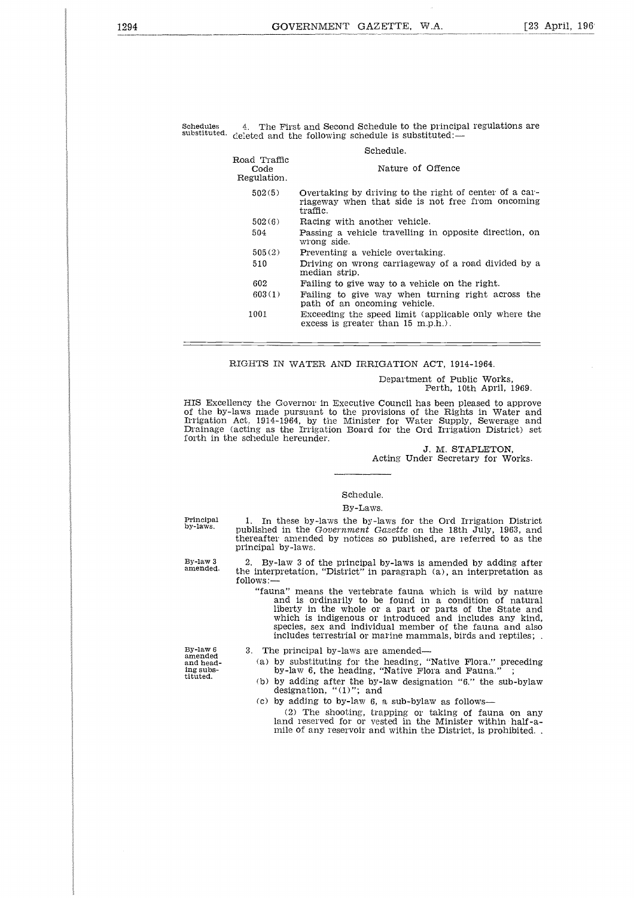## Schedule.

| iedules<br>stituted. |                                     | 4. The First and Second Schedule to the principal regulations are<br>deleted and the following schedule is substituted:— |
|----------------------|-------------------------------------|--------------------------------------------------------------------------------------------------------------------------|
|                      |                                     | Schedule.                                                                                                                |
|                      | Road Traffic<br>Code<br>Regulation. | Nature of Offence                                                                                                        |
|                      | 502(5)                              | Overtaking by driving to the right of center of a car-<br>riageway when that side is not free from oncoming<br>traffic.  |
|                      | 502(6)                              | Racing with another vehicle.                                                                                             |
|                      | 504                                 | Passing a vehicle travelling in opposite direction, on<br>wrong side.                                                    |
|                      | 505(2)                              | Preventing a vehicle overtaking.                                                                                         |
|                      | 510                                 | Driving on wrong carriageway of a road divided by a<br>median strip.                                                     |
|                      | 602                                 | Failing to give way to a vehicle on the right.                                                                           |
|                      | 603(1)                              | Failing to give way when turning right across the<br>path of an oncoming vehicle.                                        |
|                      | 1001                                | Exceeding the speed limit (applicable only where the<br>excess is greater than $15$ m.p.h.).                             |

### RIGHTS IN WATER AND IRRIGATION ACT, 1914-1964.

Department of Public Works, Perth, 10th April, 1969.

HIS Excellency the Governor in Executive Council has been pleased to approve of the by-laws made pursuant to the provisions of the Rights in Water and Irrigation Act, 1914-1964, by the Minister for Water Supply, Sewerage and Drainage (acting as the Irrigation Board for the Ord Irrigation District) set forth in the schedule hereunder.

## J. M. STAPLETON, Acting Under Secretary for Works.

## Schedule.

#### By-Laws.

Principal by-laws.

By-law 3 amended.

1. In these by-laws the by-laws for the Ord Irrigation District published in the *Government Gazette* on the 18th July, 1963, and thereafter amended by notices so published, are referred to as the principal by-laws.

2. By-law 3 of the principal by-laws is amended by adding after the interpretation, "District" in paragraph (a), an interpretation as follows:—

"fauna" means the vertebrate fauna which is wild by nature and is ordinarily to be found in a condition of natural liberty in the whole or a part or parts of the State and which is indigenous or introduced and includes any kind, species, sex and individual member of the fauna and also includes terrestrial or marine mammals, birds and reptiles; .

3. The principal by-laws are amended

(a) by substituting for the heading, "Native Flora." preceding by-law 6, the heading, "Native Flora and Fauna."

(b) by adding after the by-law designation "6." the sub-bylaw designation, "(1)"; and

(c) by adding to by-law 6, a sub-bylaw as follows

(2) The shooting, trapping or taking of fauna on any land reserved for or vested in the Minister within half-amile of any reservoir and within the District, is prohibited. .

amended and heading substituted.

By-law 6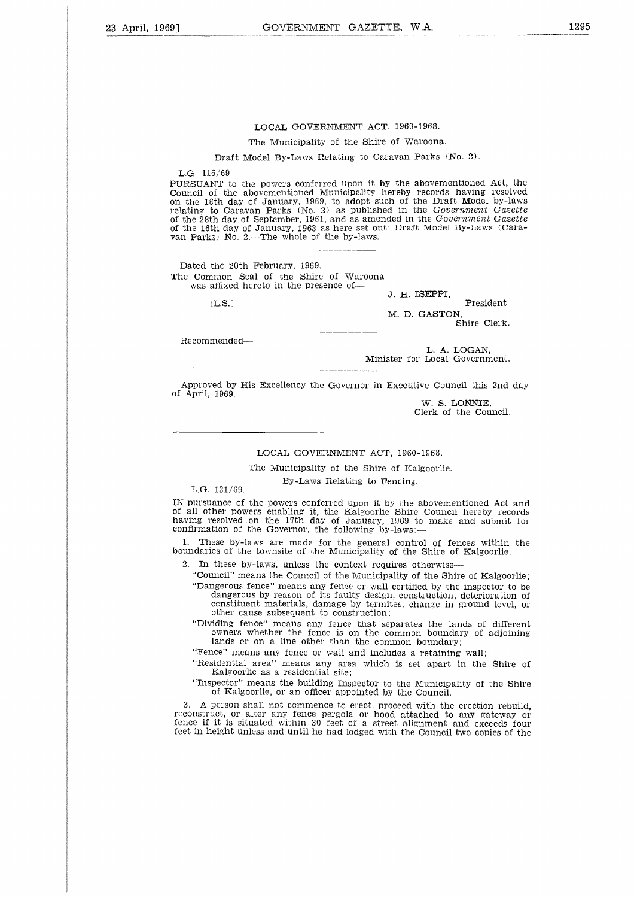## LOCAL GOVERNMENT ACT. 1960-1968.

#### The Municipality of the Shire of Waroona.

Draft Model By-Laws Relating to Caravan Parks (No. 2).

L.G. 116/69

PURSUANT to the powers conferred upon it by the abovementioned Act, the Council of the abovementioned Municipality hereby records having resolved on the 16th day of January, 1969, to adopt such of the Draft Model by-laws relating to Caravan Parks (No. 2) as published in the *Government Gazette* of the 28th day of September, 1961, and as amended in the *Government Gazette* of the 16th day of January, 1963 as here set out: Draft Model By-Laws (Caravan Parks) No. 2.—The whole of the by-laws. 6/69.<br>
NT to the powers conferred upon it by the abovementioned Act,<br>
NI the abovementioned Municipality hereby records having resc<br>
Sith day of January, 1969, to adopt such of the Draft Model by-<br>
to Caravan Parks (No. 2

Dated the 20th February, 1969. The Common Seal of the Shire of Waroona was affixed hereto in the presence of-

J. H. ISEPPI,

M. D. GASTON,

Shire Clerk.

Recommended

L. A. LOGAN, Minister for Local Government.

Approved by His Excellency the Governor in Executive Council this 2nd day of April, 1969.

W. S. LONNIE, Clerk of the Council.

## LOCAL GOVERNMENT ACT, 1960-1968.

The Municipality of the Shire of Kalgoorlie.

#### By-Laws Relating to Fencing.

L.G. 131/69.

IN pursuance of the powers conferred upon it by the abovementioned Act and of all other powers enabling it, the Kalgoorlie Shire Council hereby records having resolved on the 17th day of January, 1969 to make and submit for confirmation of the Governor, the following by-laws:-

1. These by-laws are made for the general control of fences within the boundaries of the townsite of the Municipality of the Shire of Kalgoorlie.

2. In these by-laws, unless the context requires otherwise—

"Council" means the Council of the Municipality of the Shire of Kalgoorlie; "Dangerous fence" means any fence or wall certified by the inspector to be dangerous by reason of its faulty design, construction, deterioration of constituent materials, damage by termites, change in ground level, or other cause subsequent to construction;

"Dividing fence" means any fence that separates the lands of different owners whether the fence is on the common boundary of adjoining lands or on a line other than the common boundary;

"Fence" means any fence or wall and includes a retaining wall;

"Residential area" means any area which is set apart in the Shire of Kalgoorlie as a residential site;

"Inspector" means the building Inspector to the Municipality of the Shire of Kalgoorlie, or an officer appointed by the Council.

3. A person shall not commence to erect, proceed with the erection rebuild, reconstruct, or alter any fence pergola or hood attached to any gateway or fence if it is situated within 30 feet of a street alignment and exceeds four feet in height unless and until he had lodged with the Council two copies of the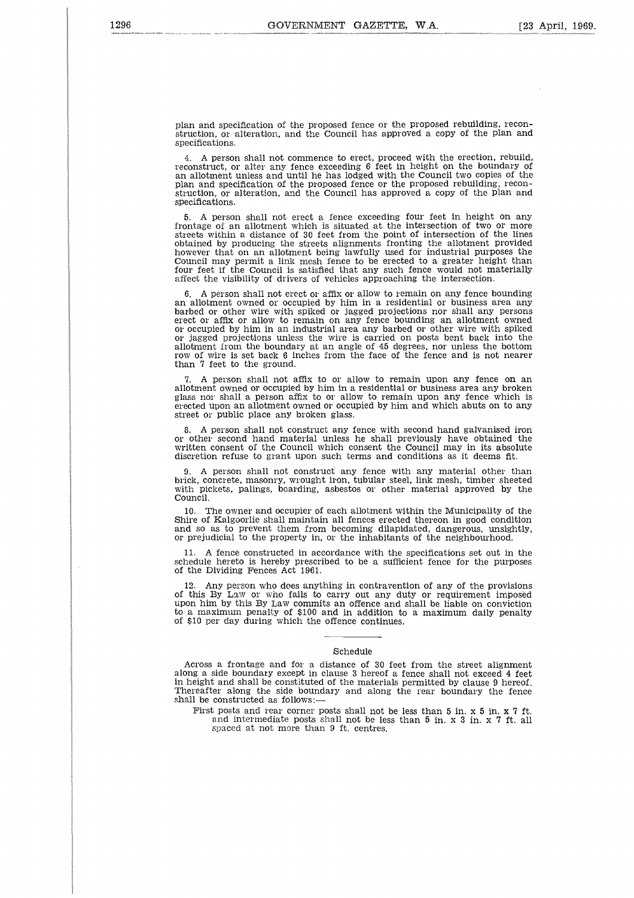plan and specification of the proposed fence or the proposed rebuilding, reconstruction, or alteration, and the Council has approved a copy of the plan and specifications.

4. A person shall not commence to erect, proceed with the erection, rebuild, reconstruct, or alter any fence exceeding 6 feet in height on the boundary o an allotment unless and until he has lodged with the Council two copies of th plan and specification of the proposed fence or the proposed rebuilding, reconstruction, or alteration, and the Council has approved a copy of the plan and specifications.

5. A person shall not erect a fence exceeding four feet in height on any frontage of an allotment which is situated at the intersection of two or more streets within a distance of 30 feet from the point of intersection of the line obtained by producing the streets alignments fronting the allotment provided however that on an allotment being lawfully used for industrial purposes the Council may permit a link mesh fence to be erected to a greater height than four feet if the Council is satisfied that any such fence would not materially affect the visibility of drivers of vehicles approaching the intersection.

6. A person shall not erect or affix or allow to remain on any fence bounding an allotment owned or occupied by him in a residential or business area any barbed or other wire with spiked or jagged projections nor shall any persons erect or affix or allow to remain on any fence bounding an allotment owned or occupied by him in an industrial area any barbed or other wire with spiked or jagged projections unless the wire is carried on posts bent back into the allotment from the boundary at an angle of 45 degrees, nor unless the bottom row of wire is set back 6 inches from the face of the fence and is not nearer than 7 feet to the ground.

7. A person shall not affix to or allow to remain upon any fence on an allotment owned or occupied by him in a residential or business area any broken glass nor shall a person affix to or allow to remain upon any fence which is erected upon an allotment owned or occupied by him and which abuts on to any street or public place any broken glass.

8. A person shall not construct any fence with second hand galvanised iron or other second hand material unless he shall previously have obtained the written consent of the Council which consent the Council may in its absolute discretion refuse to grant upon such terms and conditions as it deems fit.

9. A person shall not construct any fence with any material other than brick, concrete, masonry, wrought iron, tubular steel, link mesh, timber sheeted with pickets, palings, boarding, asbestos or other material approved by the Council.

10. The owner and occupier of each allotment within the Municipality of the Shire of Kalgoorlie shall maintain all fences erected thereon in good condition and so as to prevent them from becoming dilapidated, dangerous, unsightly, or prejudicial to the property in, or the inhabitants of the neighbourhood.

11. A fence constructed in accordance with the specifications set out in the schedule hereto is hereby prescribed to be a sufficient fence for the purposes of the Dividing Fences Act 1961.

Any person who does anything in contravention of any of the provisions of this By Law or who fails to carry out any duty or requirement imposed upon him by this By Law commits an offence and shall be liable on conviction to a maximum penalty of \$100 and in addition to a maximum daily penalty of \$10 per day during which the offence continues.

#### Schedule

Across a frontage and for a distance of 30 feet from the street alignment along a side boundary except in clause 3 hereof a fence shall not exceed 4 feet in height and shall be constituted of the materials permitted by clause 9 hereof. Thereafter along the side boundary and along the rear boundary the fence shall be constructed as follows:

First posts and rear corner posts shall not be less than 5 in. x 5 in. x 7 ft. and intermediate posts shall not be less than 5 in. x 3 in. x 7 ft. all spaced at not more than 9 ft. centres.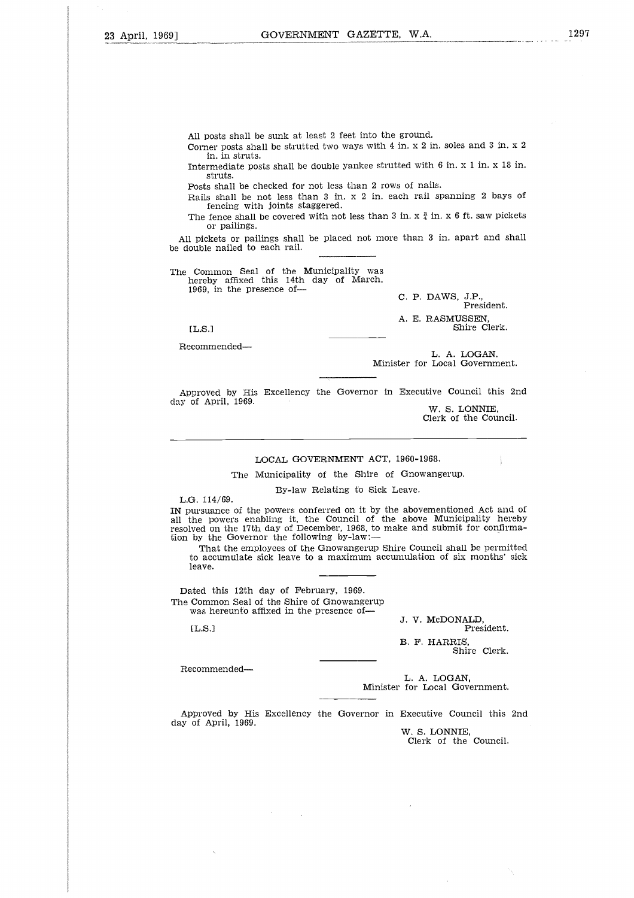All posts shall be sunk at least 2 feet into the ground.

Corner posts shall be strutted two ways with 4 in. x 2 in, soles and 3 in. x 2 in. in struts.

Intermediate posts shall be double yankee strutted with 6 in. x 1 in. x 18 in. struts.

Posts shall be checked for not less than 2 rows of nails.

Rails shall be not less than 3 in. x 2 in. each rail spanning 2 bays of fencing with joints staggered.

The fence shall be covered with not less than 3 in.  $x \frac{3}{4}$  in. x 6 ft. saw pickets or pailings.

All pickets or pailings shall be placed not more than 3 in. apart and shall be double nailed to each rail.

The Common Seal of the Municipality was hereby affixed this 14th day of March, 1969, in the presence of-

C. P. DAWS, J.P., President. A. E. RASMUSSEN, EL.S. Shire Clerk.

Recommended

L. A. LOGAN, Minister for Local Government.

Approved by His Excellency the Governor in Executive Council this 2nd day of April, 1969.

W. S. LONNIE, Clerk of the Council.

#### LOCAL GOVERNMENT ACT, 1960-1968.

The Municipality of the Shire of Gnowangerup.

By-law Relating to Sick Leave.

L.G. 114/69.

IN pursuance of the powers conferred on it by the abovementioned Act and of all the powers enabling it, the Council of the above Municipality hereby resolved on the 17th day of December, 1968, to make and submit for confirmation by the Governor the following by-law: 

That the employees of the Gnowangerup Shire Council shall be permitted to accumulate sick leave to a maximum accumulation of six months' sick leave.

Dated this 12th day of February, 1969. The Common Seal of the Shire of Gnowangerup was hereunto affixed in the presence of-

[L.S.]

J. V. McDONALD, President.

B. F. HARRIS, Shire Clerk.

Recommended

L. A. LOGAN, Minister for Local Government.

Approved by His Excellency the Governor in Executive Council this 2nd day of April, 1969.

W. S. LONNIE, Clerk of the Council.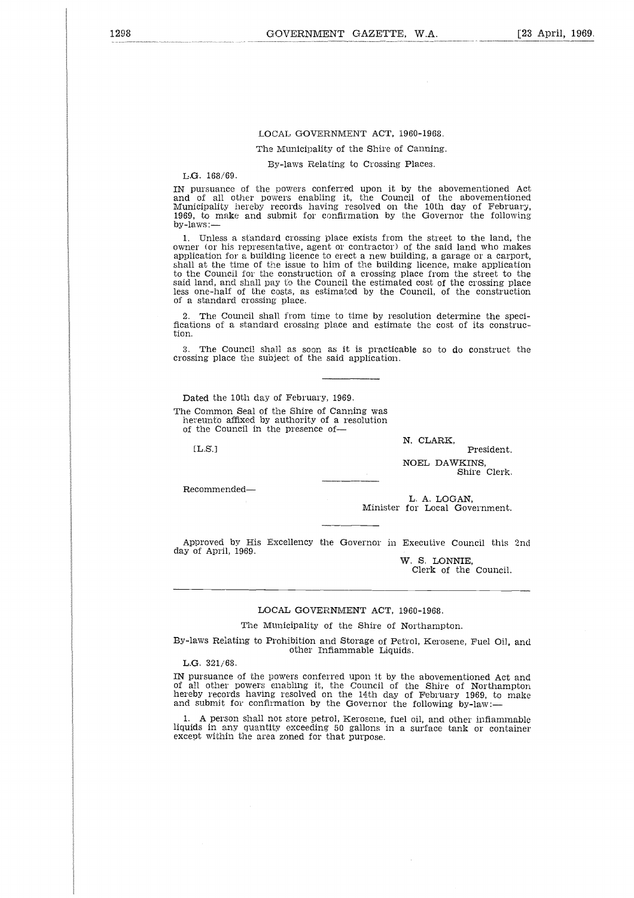## LOCAL GOVERNMENT ACT, 1960-1968.

The Municipality of the Shire of Canning.

By-laws Relating to Crossing Places.

L.G. 168/69.

IN pursuance of the powers conferred upon it by the abovementioned Act and of all other powers enabling it, the Council of the abovementioned Municipality hereby records having resolved on the 10th day of February, 1969, to make and submit for confirmation by the Governor the following by-laws:

1. Unless a standard crossing place exists from the street to the land, the owner (or his representative, agent or contractor) of the said land who makes application for a building licence to erect a new building, a garage or a carport, shall at the time of the issue to him of the building licence, make application to the Council for the construction of a crossing place from the street to the said land, and shall pay to the Council the estimated cost of the crossing place less one-half of the costs, as estimated by the Council, of the construction of a standard crossing place.

2. The Council shall from time to time by resolution determine the specifications of a standard crossing place and estimate the cost of its construction.

3. The Council shall as soon as it is practicable so to do construct the crossing place the subject of the said application.

Dated the 10th day of February, 1969. The Common Seal of the Shire of Canning was hereunto affixed by authority of a resolution of the Council in the presence of-The<br>Dons of<br>The mg pl<br>ced th<br>Commeunto<br>L.S.]

 $[L.S.]$ 

N. CLARK,

President. NOEL DAWKINS, Shire Clerk.

Recommended

L. A. LOGAN, Minister for Local Government.

Approved by His Excellency the Governor in Executive Council this 2nd day of April, 1969.

W. S. LONNIE, Clerk of the Council.

#### LOCAL GOVERNMENT ACT, 1960-1968.

The Municipality of the Shire of Northampton.

By-laws Relating to Prohibition and Storage of Petrol, Kerosene, Fuel Oil, and other Inflammable Liquids.

L.G. 321/68.

IN pursuance of the powers conferred upon it by the abovementioned Act and of all other powers enabling it, the Council of the Shire of Northampton hereby records having resolved on the 14th day of February 1969, to make and submit for confirmation by the Governor the following by-law:-

1. A person shall not store petrol, Kerosene, fuel oil, and other inflammable liquids in any quantity exceeding 50 gallons in a surface tank or container except within the area zoned for that purpose.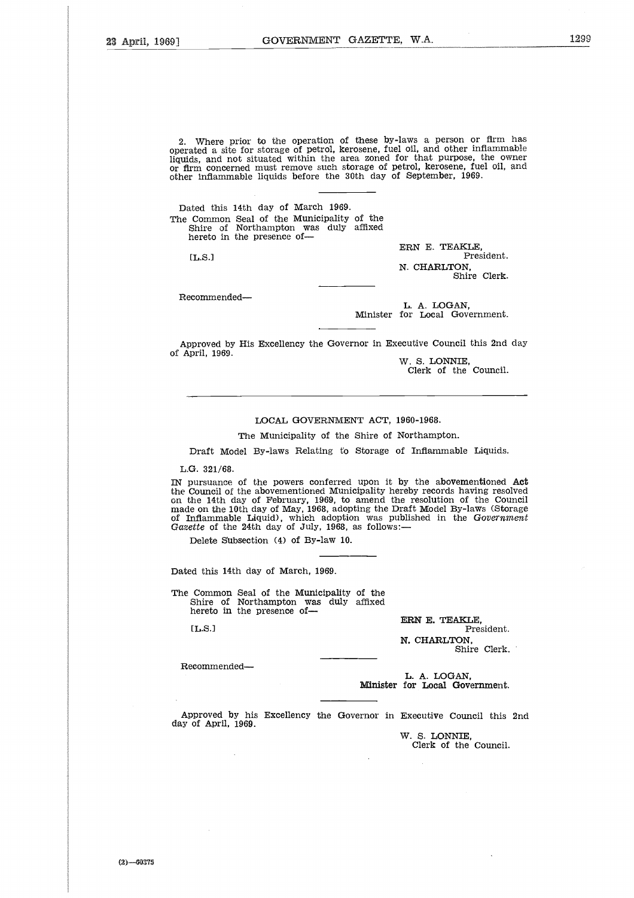2. Where prior to the operation of these by-laws a person or firm has operated a site for storage of petrol, kerosene, fuel oil, and other inflammable liquids, and not situated within the area zoned for that purpose, the owner or firm concerned must remove such storage of petrol, kerosene, fuel oil, and other inflammable liquids before the 30th day of September, 1969. 

Dated this 14th day of March 1969. The Common Seal of the Municipality of the Shire of Northampton was duly affixed hereto in the presence of-

[L.S.]

ERN E. TEAKLE. President. N. CHARLTON, Shire Clerk.

Recommended

L. A. LOGAN, Minister for Local Government.

Approved by His Excellency the Governor in Executive Council this 2nd day of April, 1969.

*W.* S. LONNIE, Clerk of the Council.

## LOCAL GOVERNMENT ACT, 1960-1968.

The Municipality of the Shire of Northampton.

Draft Model By-laws Relating to Storage of Inflammable Liquids.

L.G. 321/68.

IN pursuance of the powers conferred upon it by the abovementioned Act the Council of the abovementioned Municipality hereby records having resolved<br>on the 14th day of February, 1969, to amend the resolution of the Council<br>made on the 10th day of May, 1968, adopting the Draft Model By-laws (S of Inflammable Liquid), which adoption was published in the *Government Gazette* of the 24th day of July, 1968, as follows: Counci<br>he 14t<br>anflamm<br>flamm<br>the of<br>Delete<br>d this<br>Comm<br>Shire<br>hereto<br>L.S.]

Delete Subsection (4) of By-law 10.

Dated this 14th day of March, 1969.

The Common Seal of the Municipality of the Shire of Northampton was duly affixed hereto in the presence of-

 $[L.S.]$ 

ERN E. TEAKLE, President. N. CHARLTON, Shire Clerk.

Recommended

L. A. LOGAN, Minister for Local Government.

Approved by his Excellency the Governor in Executive Council this 2nd day of April, 1969.

> W. S. LONNIE, Clerk of the Council.

 $(2)$ -60375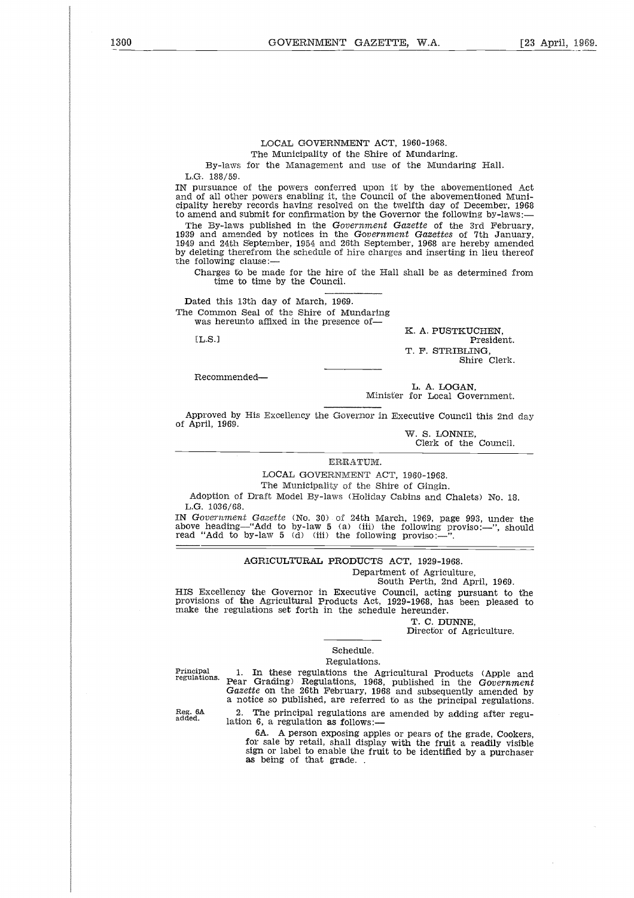## LOCAL GOVERNMENT ACT, 1960-1968. The Municipality of the Shire of Mundaring.

By-laws for the Management and use of the Mundaring Hall. L.G. 188/59.

IN pursuance of the powers conferred upon it by the abovementioned Act and of all other powers enabling it, the Council of the abovementioned Municipality hereby records having resolved on the twelfth day of December, 1968 to amend and submit for confirmation by the Governor the following by-laws:

The By-laws published in the *Government Gazette* of the 3rd February, 1939 and amended by notices in the *Government Gazettes* of 7th January, 1949 and 24th September, 1954 and 26th September, 1968 are hereby amended by deleting therefrom the schedule of hire charges and inserting in lieu thereof the following clause: Freshort of the Governor the end and submit for confirmation by the Governor the following by-law<br>
need and submit for confirmation by the Governor the following by-law<br>
and 24th September, 1954 and 26th September, 1968 ar

Charges to be made for the hire of the Hall shall be as determined from time to time by the Council.

Dated this 13th day of March, 1969. The Common Seal of the Shire of Mundaring was hereunto affixed in the presence of-

K. A. PUSTKUCHEN, T. F. STRIBLING, Shire Clerk.

Recommended

L. A. LOGAN, Minister for Local Government.

Approved by His Excellency the Governor in Executive Council this 2nd day of April, 1969.

> W. S. LONNIE, Clerk of the Council.

ERRATUM.

LOCAL GOVERNMENT ACT, 1960-1968.

The Municipality of the Shire of Gingin.

Adoption of Draft Model By-laws (Holiday Cabins and Chalets) No. 18. L.G. 1036/68.

IN *Government Gazette* (No. 30) of 24th March, 1969, page 993, under the above heading—"Add to by-law 5 (a) (iii) the following proviso:—", should read "Add to by-law 5 (d) (iii) the following proviso:—".

AGRICULTURAL PRODUCTS ACT, 1929-1968.

Department of Agriculture,

South Perth, 2nd April, 1969.

HIS Excellency the Governor in Executive Council, acting pursuant to the provisions of the Agricultural Products Act, 1929-1968, has been pleased to make the regulations set forth in the schedule hereunder.

T. C. DUNNE,

Director of Agriculture.

## Schedule. Regulations.

Principal regulations.

1. In these regulations the Agricultural Products (Apple and Pear Grading) Regulations, 1968, published in the *Government Gazette* on the 26th February, 1968 and subsequently amended by a notice so published, are referred to as the principal regulations.

Reg. 6A added.

2. The principal regulations are amended by adding after regulation 6, a regulation *as* follows:-

6A. A person exposing apples or pears of the grade, Cookers, for sale by retail, shall display with the fruit a readily visible sign or label to enable the fruit to be identified by a purchaser *as* being of that grade. .